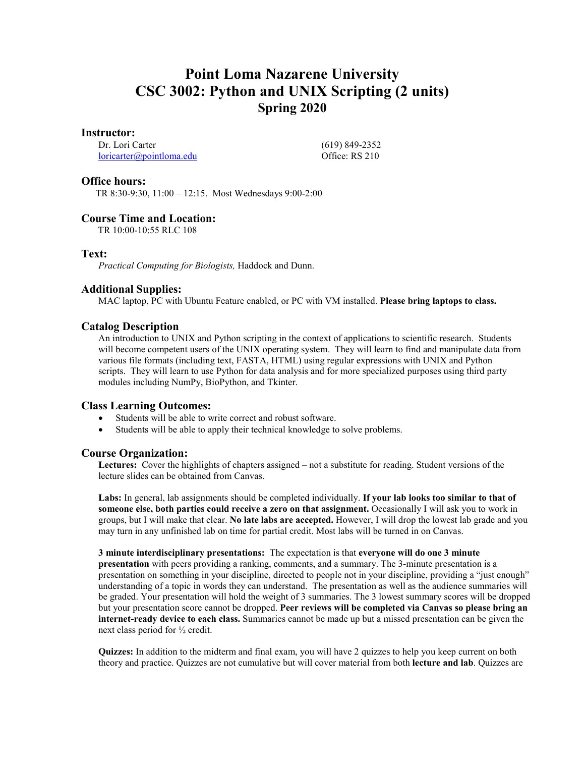# **Point Loma Nazarene University CSC 3002: Python and UNIX Scripting (2 units) Spring 2020**

## **Instructor:**

Dr. Lori Carter [loricarter@pointloma.edu](mailto:loricarter@pointloma.edu)  (619) 849-2352 Office: RS 210

## **Office hours:**

TR 8:30-9:30, 11:00 – 12:15. Most Wednesdays 9:00-2:00

# **Course Time and Location:**

TR 10:00-10:55 RLC 108

## **Text:**

*Practical Computing for Biologists,* Haddock and Dunn.

# **Additional Supplies:**

MAC laptop, PC with Ubuntu Feature enabled, or PC with VM installed. **Please bring laptops to class.**

# **Catalog Description**

An introduction to UNIX and Python scripting in the context of applications to scientific research. Students will become competent users of the UNIX operating system. They will learn to find and manipulate data from various file formats (including text, FASTA, HTML) using regular expressions with UNIX and Python scripts. They will learn to use Python for data analysis and for more specialized purposes using third party modules including NumPy, BioPython, and Tkinter.

## **Class Learning Outcomes:**

- Students will be able to write correct and robust software.
- Students will be able to apply their technical knowledge to solve problems.

# **Course Organization:**

**Lectures:** Cover the highlights of chapters assigned – not a substitute for reading. Student versions of the lecture slides can be obtained from Canvas.

**Labs:** In general, lab assignments should be completed individually. **If your lab looks too similar to that of someone else, both parties could receive a zero on that assignment.** Occasionally I will ask you to work in groups, but I will make that clear. **No late labs are accepted.** However, I will drop the lowest lab grade and you may turn in any unfinished lab on time for partial credit. Most labs will be turned in on Canvas.

**3 minute interdisciplinary presentations:** The expectation is that **everyone will do one 3 minute presentation** with peers providing a ranking, comments, and a summary. The 3-minute presentation is a presentation on something in your discipline, directed to people not in your discipline, providing a "just enough" understanding of a topic in words they can understand. The presentation as well as the audience summaries will be graded. Your presentation will hold the weight of 3 summaries. The 3 lowest summary scores will be dropped but your presentation score cannot be dropped. **Peer reviews will be completed via Canvas so please bring an internet-ready device to each class.** Summaries cannot be made up but a missed presentation can be given the next class period for ½ credit.

**Quizzes:** In addition to the midterm and final exam, you will have 2 quizzes to help you keep current on both theory and practice. Quizzes are not cumulative but will cover material from both **lecture and lab**. Quizzes are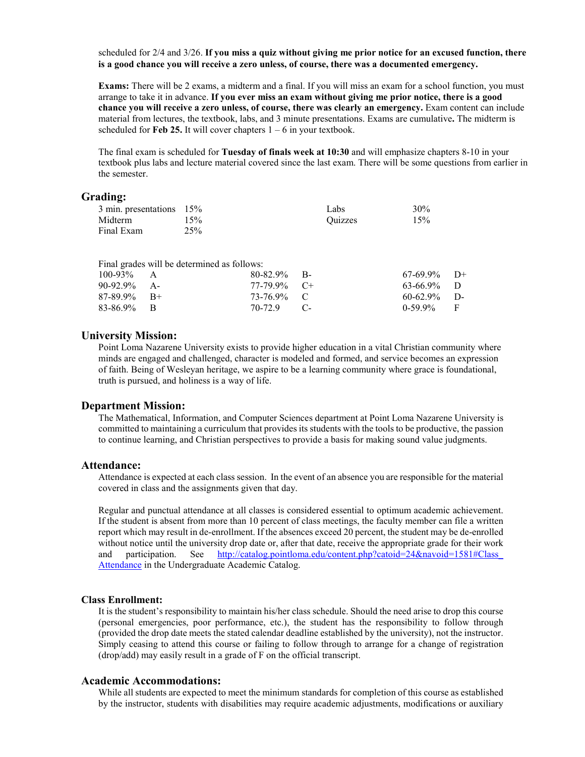scheduled for 2/4 and 3/26. **If you miss a quiz without giving me prior notice for an excused function, there is a good chance you will receive a zero unless, of course, there was a documented emergency.**

**Exams:** There will be 2 exams, a midterm and a final. If you will miss an exam for a school function, you must arrange to take it in advance. **If you ever miss an exam without giving me prior notice, there is a good chance you will receive a zero unless, of course, there was clearly an emergency.** Exam content can include material from lectures, the textbook, labs, and 3 minute presentations. Exams are cumulative**.** The midterm is scheduled for **Feb 25.** It will cover chapters  $1 - 6$  in your textbook.

The final exam is scheduled for **Tuesday of finals week at 10:30** and will emphasize chapters 8-10 in your textbook plus labs and lecture material covered since the last exam. There will be some questions from earlier in the semester.

# **Grading:**

| 3 min. presentations 15% |     | Labs    | 30% |
|--------------------------|-----|---------|-----|
| Midterm                  | 15% | Ouizzes | 15% |
| Final Exam               | 25% |         |     |

|                | Final grades will be determined as follows: |                |                |  |
|----------------|---------------------------------------------|----------------|----------------|--|
| $100-93\%$ A   |                                             | $80-82.9\%$ B- | $67-69.9\%$ D+ |  |
| $90-92.9\%$ A- |                                             | $77-79.9\%$ C+ | $63-66.9\%$ D  |  |
| $87-89.9\%$ B+ |                                             | 73-76.9% C     | $60-62.9\%$ D- |  |
| $83-86.9\%$ B  |                                             | 70-72.9 C-     | $0-59.9\%$ F   |  |

### **University Mission:**

Point Loma Nazarene University exists to provide higher education in a vital Christian community where minds are engaged and challenged, character is modeled and formed, and service becomes an expression of faith. Being of Wesleyan heritage, we aspire to be a learning community where grace is foundational, truth is pursued, and holiness is a way of life.

#### **Department Mission:**

The Mathematical, Information, and Computer Sciences department at Point Loma Nazarene University is committed to maintaining a curriculum that provides its students with the tools to be productive, the passion to continue learning, and Christian perspectives to provide a basis for making sound value judgments.

#### **Attendance:**

Attendance is expected at each class session. In the event of an absence you are responsible for the material covered in class and the assignments given that day.

Regular and punctual attendance at all classes is considered essential to optimum academic achievement. If the student is absent from more than 10 percent of class meetings, the faculty member can file a written report which may result in de-enrollment. If the absences exceed 20 percent, the student may be de-enrolled without notice until the university drop date or, after that date, receive the appropriate grade for their work and participation. See http://catalog.pointloma.edu/content.php?catoid=24&navoid=1581#Class [Attendance](http://catalog.pointloma.edu/content.php?catoid=24&navoid=1581#Class_Attendance) in the Undergraduate Academic Catalog.

#### **Class Enrollment:**

It is the student's responsibility to maintain his/her class schedule. Should the need arise to drop this course (personal emergencies, poor performance, etc.), the student has the responsibility to follow through (provided the drop date meets the stated calendar deadline established by the university), not the instructor. Simply ceasing to attend this course or failing to follow through to arrange for a change of registration (drop/add) may easily result in a grade of F on the official transcript.

#### **Academic Accommodations:**

While all students are expected to meet the minimum standards for completion of this course as established by the instructor, students with disabilities may require academic adjustments, modifications or auxiliary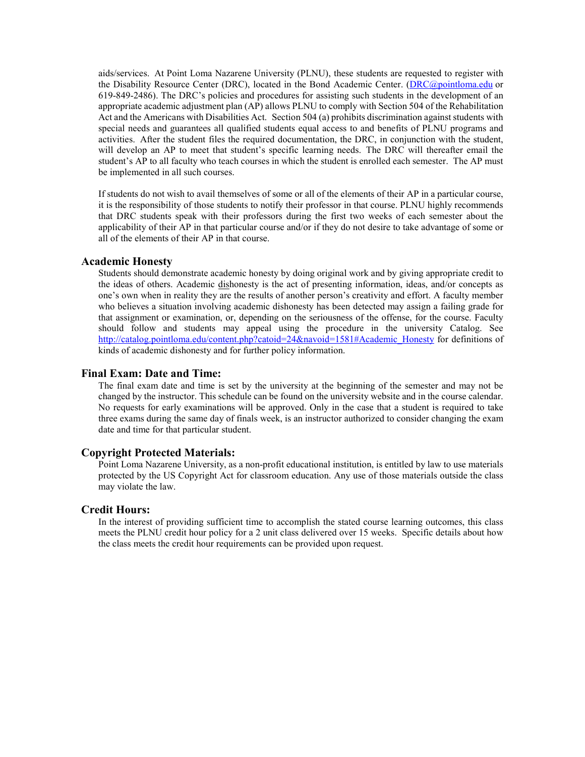aids/services. At Point Loma Nazarene University (PLNU), these students are requested to register with the Disability Resource Center (DRC), located in the Bond Academic Center. [\(DRC@pointloma.edu](mailto:DRC@pointloma.edu) or 619-849-2486). The DRC's policies and procedures for assisting such students in the development of an appropriate academic adjustment plan (AP) allows PLNU to comply with Section 504 of the Rehabilitation Act and the Americans with Disabilities Act. Section 504 (a) prohibits discrimination against students with special needs and guarantees all qualified students equal access to and benefits of PLNU programs and activities. After the student files the required documentation, the DRC, in conjunction with the student, will develop an AP to meet that student's specific learning needs. The DRC will thereafter email the student's AP to all faculty who teach courses in which the student is enrolled each semester. The AP must be implemented in all such courses.

If students do not wish to avail themselves of some or all of the elements of their AP in a particular course, it is the responsibility of those students to notify their professor in that course. PLNU highly recommends that DRC students speak with their professors during the first two weeks of each semester about the applicability of their AP in that particular course and/or if they do not desire to take advantage of some or all of the elements of their AP in that course.

#### **Academic Honesty**

Students should demonstrate academic honesty by doing original work and by giving appropriate credit to the ideas of others. Academic dishonesty is the act of presenting information, ideas, and/or concepts as one's own when in reality they are the results of another person's creativity and effort. A faculty member who believes a situation involving academic dishonesty has been detected may assign a failing grade for that assignment or examination, or, depending on the seriousness of the offense, for the course. Faculty should follow and students may appeal using the procedure in the university Catalog. See [http://catalog.pointloma.edu/content.php?catoid=24&navoid=1581#Academic\\_Honesty](http://catalog.pointloma.edu/content.php?catoid=24&navoid=1581#Academic_Honesty) for definitions of kinds of academic dishonesty and for further policy information.

### **Final Exam: Date and Time:**

The final exam date and time is set by the university at the beginning of the semester and may not be changed by the instructor. This schedule can be found on the university website and in the course calendar. No requests for early examinations will be approved. Only in the case that a student is required to take three exams during the same day of finals week, is an instructor authorized to consider changing the exam date and time for that particular student.

#### **Copyright Protected Materials:**

Point Loma Nazarene University, as a non-profit educational institution, is entitled by law to use materials protected by the US Copyright Act for classroom education. Any use of those materials outside the class may violate the law.

#### **Credit Hours:**

In the interest of providing sufficient time to accomplish the stated course learning outcomes, this class meets the PLNU credit hour policy for a 2 unit class delivered over 15 weeks. Specific details about how the class meets the credit hour requirements can be provided upon request.